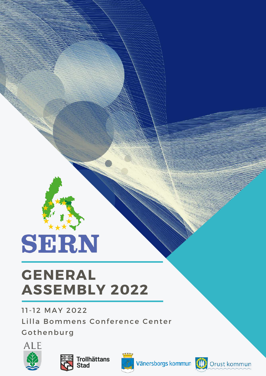# SERN

# **GENERAL ASSEMBLY 2022**

11-12 MAY 2022

Lilla Bommens Conference Center

Gothenburg







Vänersborgs kommun (III) Orust kommun

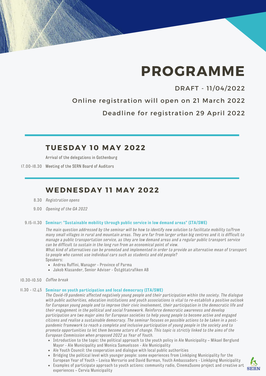# **PROGRAMME**

### DRAFT - 11/04/2022

Online registration will open on 21 March 2022

Deadline for registration 29 April 2022

### **TUESDAY 10 MAY 2022**

Arrival of the delegations in Gothenburg

17.00-18.30 Meeting of the SERN Board of Auditors

# **WEDNESDAY 1 1 MAY 2022**

- *Registration opens* 8.30
- *Opening of the GA 2022* 9.00

#### **Seminar: "Sustainable mobility through public service in low demand areas" (ITA/SWE)** 9.15-11.30

The main question addressed by the seminar will be how to identify new solution to facilitate mobility to/from many small villages in rural and mountain areas. They are far from larger urban big centres and it is difficult to manage a public transportation service, as they are low demand areas and a regular public transport service *can be difficult to sustain in the long run from an economical point of view.*

What kind of alternatives can be promoted and implemented in order to provide an alternative mean of transport *to people who cannot use individual cars such as students and old people?* Speakers:

- Andrea Ruffini, Manager Province of Parma
- Jakob Klasander, Senior Adviser Östgötatrafiken AB

#### *Coffee break* 10.30-10.50

#### **Seminar on youth participation and local democracy (ITA/SWE)** 11.30 - 12.45

*The Covid-19 pandemic affected negatively young people and their participation within the society. The dialogue with public authorities, education institutions and youth associations is vital to re-establish a positive outlook* for European young people and to improve their civic involvement, their participation in the democratic life and *their engagement in the political and social framework. Reinforce democratic awareness and develop participation are two major aims for European societies to help young people to become active and engaged* citizens and realise a sustainable democracy. The seminar focuses on possible actions to be taken in a post*pandemic framework to reach a complete and inclusive participation of young people in the society and to* promote opportunities to let them become actors of change. This topic is strictly linked to the aims of the *European Commission when proposed 2022 as Year of Youth.*

- Introduction to the topic: the political approach to the youth policy in Ale Municipality Mikael Berglund Mayor - Ale Municipality and Monica Samuelsson - Ale Municipality
- Ale Youth Council: the cooperation and dialogue with local public authorities
- Bridging the political level with younger people: some experiences from Linköping Municipality for the European Year of Youth – Lovisa Mercurio and David Burman, Youth Ambassadors - Linköping Municipality
- Examples of participate approach to youth actions: community radio, CinemaSuono project and creative art experiences – Cervia Municipality

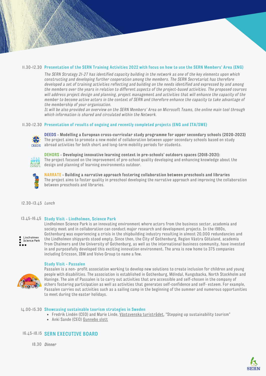#### II.30-I2.30 Presentation of the SERN Training Activities 2022 with focus on how to use the SERN Members' Area (ENG)

The SERN Strategy 2I-27 has identified capacity building in the network as one of the key elements upon which *constructing and developing further cooperation among the members. The SERN Secretariat has therefore* developed a set of training activities reflecting and building on the needs identified and expressed by and among the members over the years in relation to different aspects of the project-based activities. The proposed courses will address project design and planning, project management and activities that will enhance the capacity of the member to become active actors in the context of SERN and therefore enhance the capacity to take advantage of *the membership of your organisation.*

It will be also provided an overview on the SERN Members' Area on Microsoft Teams, the online main tool through *which information is shared and circulated within the Network.*

#### **Presentation of results of ongoing and recently completed projects (ENG and ITA/SWE)** 11.30-12.30



**DEEDS - Modelling a European cross-curricular study programme for upper secondary schools (2020-2023)** The project aims to promote a new model of collaboration between upper secondary schools based on study abroad activities for both short and long-term mobility periods for students.



**DEHORS - Developing innovative learning context in pre-schools' outdoors spaces (2018-2021):** The project focused on the improvement of pre-school quality developing and enhancing knowledge about the design and planning of learning environments outdoor.

Lindholmen Science Park is an innovating environment where actors from the business sector, academia and society meet and in collaboration can conduct major research and development projects. In the 1980s,



**NARRATE - Building a narrative approach fostering collaboration between preschools and libraries** The project aims to foster quality in preschool developing the narrative approach and improving the collaboration between preschools and libraries.

*Lunch* 12.30-13.45

#### **Study Visit - Lindholmen, Science Park** 13.45-16.45

Gothenburg was experiencing a crisis in the shipbuilding industry resulting in almost 20,000 redundancies and Lindholmen the Lindholmen shipyards stood empty. Since then, the City of Gothenburg, Region Västra Götaland, academia from Chalmers and the University of Gothenburg, as well as the international business community, have invested in and purposefully developed this exciting innovation environment. The area is now home to 375 companies

Science Park

**Study Visit - Passalen**



Passalen is a non- profit association working to develop new solutions to create inclusion for children and young people with disabilities. The association is established in Gothenburg, Mölndal, Kungsbacka, North Stockholm and Haninge. The aim of Passalen is to carry out activities that are accessible and self-chosen in the company of others fostering participation as well as activities that generates self-confidence and self- esteem. For example, Passalen carries out activities such as a sailing camp in the beginning of the summer and numerous opportunities to meet during the easter holidays.

#### **Showcasing sustainable tourism strategies in Sweden** 14.00-15.30

including Ericsson, IBM and Volvo Group to name a few.

- Fredrik Lindén (CEO) and Marie Linde, [Västsvenska](https://www.vastsverige.com/turistradet-vastsverige/) turistrådet, "Stepping up sustainability tourism"
- Anki Sande (CEO) [Gunnebo](https://gunneboslott.se/) slott

#### **SERN EXECUTIVE BOARD** 16.45-18.15

*Dinner* 18.30

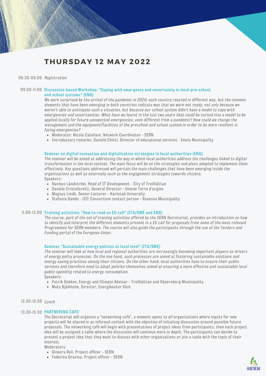# **THURSDAY 12 MAY 2022**

#### *Registration* 08.30-09.00

#### **Discussion-based Workshop: "Coping with emergency and uncertainty in local pre-school** 09.00-11.00 **and school systems" (ENG)**

We were surprised by the arrival of the pandemic in 2020; each country reacted in different way, but the common elements that have been emerging in both countries indicate was that we were not ready, not only because we weren't able to anticipate such a situation, but because our school system didn't have a model to cope with emergencies and uncertainties. What have we learnt in the last two years that could be turned into a model to be *applied locally for future unexpected emergencies, even different from a pandemic? How could we change the* management and the equipment/facilities of the preschool and school system in order to be more resilient in *facing emergencies?*

- Moderator: Nicola Catellani, Network Coordinator SERN
- Introductory remarks: Daniele Chitti, Director of educational services Imola Municipality

#### **Seminar on digital innovation and digitalization strategies in local authorities (ENG)**

The seminar will be aimed at addressing the way in which local authorities address the challenges linked to digital transformation in the local context. The main focus will be on the strategies and plans adopted to implement them *effectively. Key questions addressed will pertain the main challenges that have been emerging inside the organisations as well as externally such as the engagement strategies towards citizens.* Speakers*:*

- Rasmus Ländström, Head of IT Development City of Trollhättan
- Daniele Cristoforetti, General Director Unione Terre d'argine
- Magnus Lindh, Senior Lecturer Karlstad University
- Stefania Gambi ICC Consortium contact person Ravenna Municipality

#### **Training activities: "How to read an EU call" (ITA/SWE and ENG)** 11.00-12.00

The course, part of the set of training activities offered by the SERN Secretariat, provides an introduction on how to identify and interpret the different elements present in a EU call for proposals from some of the most relevant Programmes for SERN members. The course will also guide the participants through the use of the Tenders and *Funding portal of the European Union.*

#### **Seminar "Sustainable energy policies at local level" (ITA/SWE)**

The seminar will look at how local and regional authorities are increasingly becoming important players as drivers of energy policy processes. On the one hand, such processes are aimed at fostering sustainable solutions and energy saving practices among their citizens. On the other hand, local authorities have to ensure their public services and therefore need to adopt policies themselves aimed at ensuring a more effective and sustainable local *public spending related to energy consumption.*

Speakers:

- Patrik Dokken, Energy and Climate Advisor Trollhättan and Vänersborg Municipality
- Mats Bjälkholm, Director, Energikontor Väst

#### *Lunch* 12.30-13.30

#### **PARTNERING CAFE'** 13.30-15.30

The Secretariat will organise a "networking café", a moment opens to all organisations where inputs for new projects will be shared in an informal context with the objective of initiating discussion around possible future proposals. The networking café will begin with presentations of project ideas from participants, then each project idea will be assigned a table where the discussion will continue more in depth. The participants can decide to present a project idea that they want to discuss with other organizations or join a table with the topic of their interest.

#### Moderators:

- Ginevra Roli, Project officer SERN
- Federica Gravina, Project officer SERN